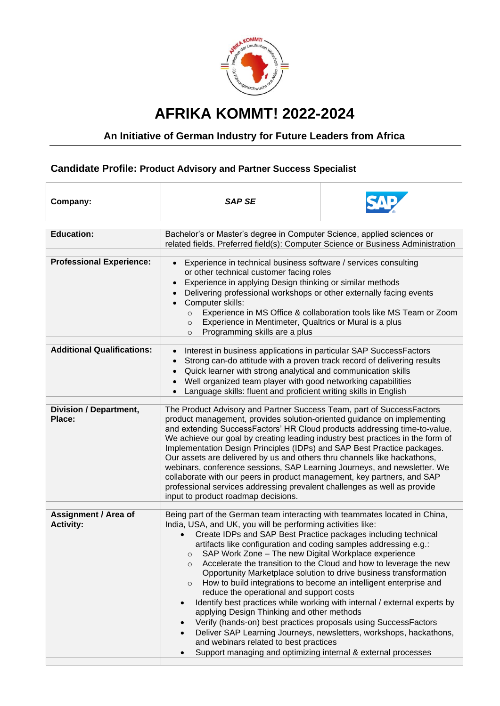

## **AFRIKA KOMMT! 2022-2024**

## **An Initiative of German Industry for Future Leaders from Africa**

## **Candidate Profile: Product Advisory and Partner Success Specialist**

| Company:                                        | <b>SAP SE</b>                                                                                                                                                                                                                                                                                                                                                                                                                                                                                                                                                                                                                                                                                                                                    |                                                                                                                                                                                                                                                                                                                                                                 |
|-------------------------------------------------|--------------------------------------------------------------------------------------------------------------------------------------------------------------------------------------------------------------------------------------------------------------------------------------------------------------------------------------------------------------------------------------------------------------------------------------------------------------------------------------------------------------------------------------------------------------------------------------------------------------------------------------------------------------------------------------------------------------------------------------------------|-----------------------------------------------------------------------------------------------------------------------------------------------------------------------------------------------------------------------------------------------------------------------------------------------------------------------------------------------------------------|
| <b>Education:</b>                               | Bachelor's or Master's degree in Computer Science, applied sciences or<br>related fields. Preferred field(s): Computer Science or Business Administration                                                                                                                                                                                                                                                                                                                                                                                                                                                                                                                                                                                        |                                                                                                                                                                                                                                                                                                                                                                 |
| <b>Professional Experience:</b>                 | Experience in technical business software / services consulting<br>$\bullet$<br>or other technical customer facing roles<br>Experience in applying Design thinking or similar methods<br>$\bullet$<br>Delivering professional workshops or other externally facing events<br>Computer skills:<br>$\bullet$<br>Experience in MS Office & collaboration tools like MS Team or Zoom<br>$\circ$<br>Experience in Mentimeter, Qualtrics or Mural is a plus<br>$\circ$<br>Programming skills are a plus<br>$\circ$                                                                                                                                                                                                                                     |                                                                                                                                                                                                                                                                                                                                                                 |
| <b>Additional Qualifications:</b>               | Interest in business applications in particular SAP SuccessFactors<br>Strong can-do attitude with a proven track record of delivering results<br>Quick learner with strong analytical and communication skills<br>Well organized team player with good networking capabilities<br>Language skills: fluent and proficient writing skills in English                                                                                                                                                                                                                                                                                                                                                                                               |                                                                                                                                                                                                                                                                                                                                                                 |
| <b>Division / Department,</b><br>Place:         | The Product Advisory and Partner Success Team, part of SuccessFactors<br>product management, provides solution-oriented guidance on implementing<br>and extending SuccessFactors' HR Cloud products addressing time-to-value.<br>We achieve our goal by creating leading industry best practices in the form of<br>Implementation Design Principles (IDPs) and SAP Best Practice packages.<br>Our assets are delivered by us and others thru channels like hackathons,<br>webinars, conference sessions, SAP Learning Journeys, and newsletter. We<br>collaborate with our peers in product management, key partners, and SAP<br>professional services addressing prevalent challenges as well as provide<br>input to product roadmap decisions. |                                                                                                                                                                                                                                                                                                                                                                 |
| <b>Assignment / Area of</b><br><b>Activity:</b> | Being part of the German team interacting with teammates located in China,<br>India, USA, and UK, you will be performing activities like:<br>Create IDPs and SAP Best Practice packages including technical<br>$\bullet$<br>artifacts like configuration and coding samples addressing e.g.:<br>SAP Work Zone - The new Digital Workplace experience<br>$\circ$<br>O<br>$\circ$<br>reduce the operational and support costs<br>$\bullet$<br>applying Design Thinking and other methods<br>Verify (hands-on) best practices proposals using SuccessFactors<br>and webinars related to best practices<br>Support managing and optimizing internal & external processes<br>$\bullet$                                                                | Accelerate the transition to the Cloud and how to leverage the new<br>Opportunity Marketplace solution to drive business transformation<br>How to build integrations to become an intelligent enterprise and<br>Identify best practices while working with internal / external experts by<br>Deliver SAP Learning Journeys, newsletters, workshops, hackathons, |